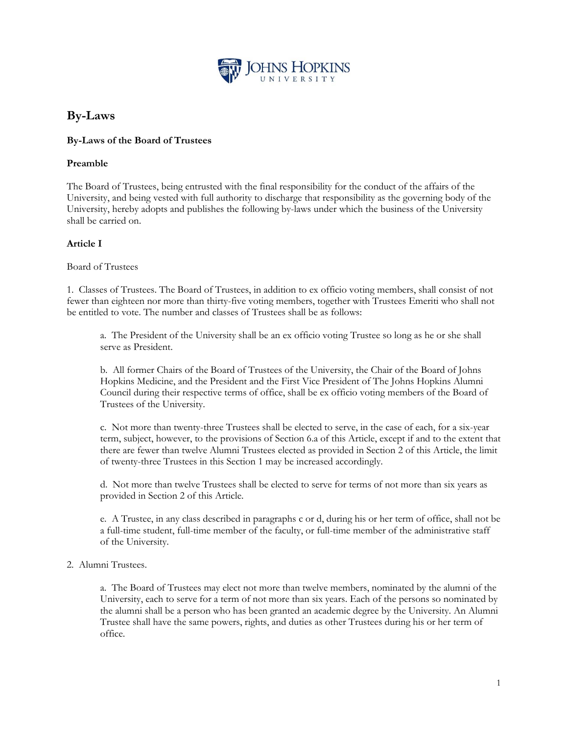

# **By-Laws**

# **By-Laws of the Board of Trustees**

## **Preamble**

The Board of Trustees, being entrusted with the final responsibility for the conduct of the affairs of the University, and being vested with full authority to discharge that responsibility as the governing body of the University, hereby adopts and publishes the following by-laws under which the business of the University shall be carried on.

# **Article I**

Board of Trustees

1. Classes of Trustees. The Board of Trustees, in addition to ex officio voting members, shall consist of not fewer than eighteen nor more than thirty-five voting members, together with Trustees Emeriti who shall not be entitled to vote. The number and classes of Trustees shall be as follows:

a. The President of the University shall be an ex officio voting Trustee so long as he or she shall serve as President.

b. All former Chairs of the Board of Trustees of the University, the Chair of the Board of Johns Hopkins Medicine, and the President and the First Vice President of The Johns Hopkins Alumni Council during their respective terms of office, shall be ex officio voting members of the Board of Trustees of the University.

c. Not more than twenty-three Trustees shall be elected to serve, in the case of each, for a six-year term, subject, however, to the provisions of Section 6.a of this Article, except if and to the extent that there are fewer than twelve Alumni Trustees elected as provided in Section 2 of this Article, the limit of twenty-three Trustees in this Section 1 may be increased accordingly.

d. Not more than twelve Trustees shall be elected to serve for terms of not more than six years as provided in Section 2 of this Article.

e. A Trustee, in any class described in paragraphs c or d, during his or her term of office, shall not be a full-time student, full-time member of the faculty, or full-time member of the administrative staff of the University.

### 2. Alumni Trustees.

a. The Board of Trustees may elect not more than twelve members, nominated by the alumni of the University, each to serve for a term of not more than six years. Each of the persons so nominated by the alumni shall be a person who has been granted an academic degree by the University. An Alumni Trustee shall have the same powers, rights, and duties as other Trustees during his or her term of office.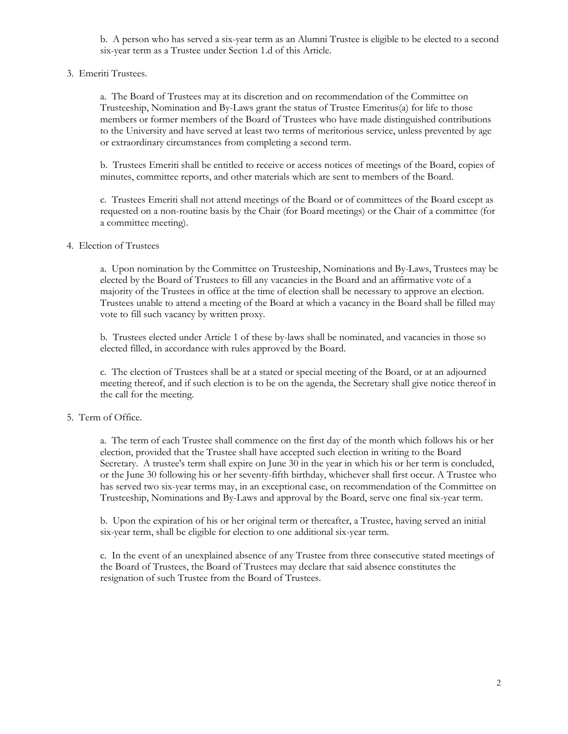b. A person who has served a six-year term as an Alumni Trustee is eligible to be elected to a second six-year term as a Trustee under Section 1.d of this Article.

3. Emeriti Trustees.

a. The Board of Trustees may at its discretion and on recommendation of the Committee on Trusteeship, Nomination and By-Laws grant the status of Trustee Emeritus(a) for life to those members or former members of the Board of Trustees who have made distinguished contributions to the University and have served at least two terms of meritorious service, unless prevented by age or extraordinary circumstances from completing a second term.

b. Trustees Emeriti shall be entitled to receive or access notices of meetings of the Board, copies of minutes, committee reports, and other materials which are sent to members of the Board.

c. Trustees Emeriti shall not attend meetings of the Board or of committees of the Board except as requested on a non-routine basis by the Chair (for Board meetings) or the Chair of a committee (for a committee meeting).

### 4. Election of Trustees

a. Upon nomination by the Committee on Trusteeship, Nominations and By-Laws, Trustees may be elected by the Board of Trustees to fill any vacancies in the Board and an affirmative vote of a majority of the Trustees in office at the time of election shall be necessary to approve an election. Trustees unable to attend a meeting of the Board at which a vacancy in the Board shall be filled may vote to fill such vacancy by written proxy.

b. Trustees elected under Article 1 of these by-laws shall be nominated, and vacancies in those so elected filled, in accordance with rules approved by the Board.

c. The election of Trustees shall be at a stated or special meeting of the Board, or at an adjourned meeting thereof, and if such election is to be on the agenda, the Secretary shall give notice thereof in the call for the meeting.

#### 5. Term of Office.

a. The term of each Trustee shall commence on the first day of the month which follows his or her election, provided that the Trustee shall have accepted such election in writing to the Board Secretary. A trustee's term shall expire on June 30 in the year in which his or her term is concluded, or the June 30 following his or her seventy-fifth birthday, whichever shall first occur. A Trustee who has served two six-year terms may, in an exceptional case, on recommendation of the Committee on Trusteeship, Nominations and By-Laws and approval by the Board, serve one final six-year term.

b. Upon the expiration of his or her original term or thereafter, a Trustee, having served an initial six-year term, shall be eligible for election to one additional six-year term.

c. In the event of an unexplained absence of any Trustee from three consecutive stated meetings of the Board of Trustees, the Board of Trustees may declare that said absence constitutes the resignation of such Trustee from the Board of Trustees.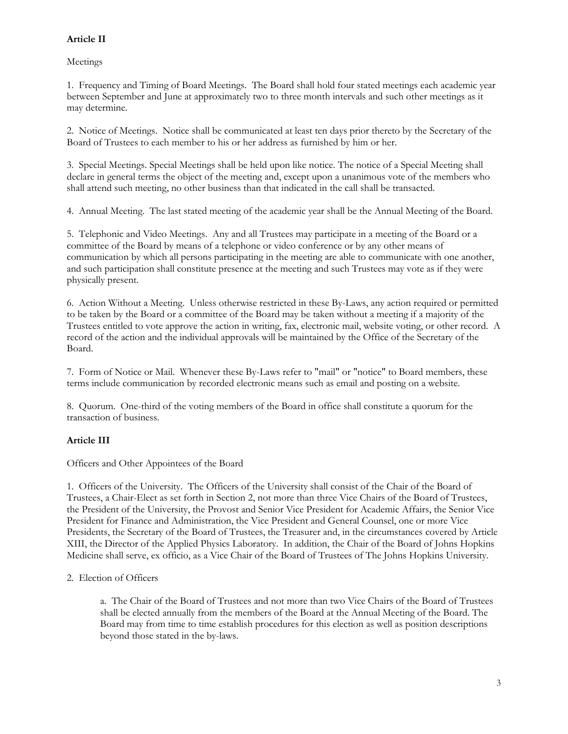# **Article II**

Meetings

1. Frequency and Timing of Board Meetings. The Board shall hold four stated meetings each academic year between September and June at approximately two to three month intervals and such other meetings as it may determine.

2. Notice of Meetings. Notice shall be communicated at least ten days prior thereto by the Secretary of the Board of Trustees to each member to his or her address as furnished by him or her.

3. Special Meetings. Special Meetings shall be held upon like notice. The notice of a Special Meeting shall declare in general terms the object of the meeting and, except upon a unanimous vote of the members who shall attend such meeting, no other business than that indicated in the call shall be transacted.

4. Annual Meeting. The last stated meeting of the academic year shall be the Annual Meeting of the Board.

5. Telephonic and Video Meetings. Any and all Trustees may participate in a meeting of the Board or a committee of the Board by means of a telephone or video conference or by any other means of communication by which all persons participating in the meeting are able to communicate with one another, and such participation shall constitute presence at the meeting and such Trustees may vote as if they were physically present.

6. Action Without a Meeting. Unless otherwise restricted in these By-Laws, any action required or permitted to be taken by the Board or a committee of the Board may be taken without a meeting if a majority of the Trustees entitled to vote approve the action in writing, fax, electronic mail, website voting, or other record. A record of the action and the individual approvals will be maintained by the Office of the Secretary of the Board.

7. Form of Notice or Mail. Whenever these By-Laws refer to "mail" or "notice" to Board members, these terms include communication by recorded electronic means such as email and posting on a website.

8. Quorum. One-third of the voting members of the Board in office shall constitute a quorum for the transaction of business.

# **Article III**

Officers and Other Appointees of the Board

1. Officers of the University. The Officers of the University shall consist of the Chair of the Board of Trustees, a Chair-Elect as set forth in Section 2, not more than three Vice Chairs of the Board of Trustees, the President of the University, the Provost and Senior Vice President for Academic Affairs, the Senior Vice President for Finance and Administration, the Vice President and General Counsel, one or more Vice Presidents, the Secretary of the Board of Trustees, the Treasurer and, in the circumstances covered by Article XIII, the Director of the Applied Physics Laboratory. In addition, the Chair of the Board of Johns Hopkins Medicine shall serve, ex officio, as a Vice Chair of the Board of Trustees of The Johns Hopkins University.

2. Election of Officers

a. The Chair of the Board of Trustees and not more than two Vice Chairs of the Board of Trustees shall be elected annually from the members of the Board at the Annual Meeting of the Board. The Board may from time to time establish procedures for this election as well as position descriptions beyond those stated in the by-laws.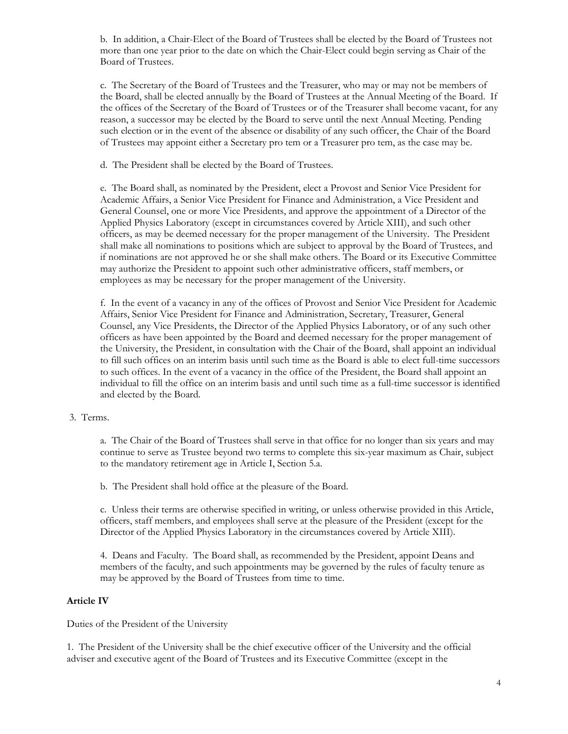b. In addition, a Chair-Elect of the Board of Trustees shall be elected by the Board of Trustees not more than one year prior to the date on which the Chair-Elect could begin serving as Chair of the Board of Trustees.

c. The Secretary of the Board of Trustees and the Treasurer, who may or may not be members of the Board, shall be elected annually by the Board of Trustees at the Annual Meeting of the Board. If the offices of the Secretary of the Board of Trustees or of the Treasurer shall become vacant, for any reason, a successor may be elected by the Board to serve until the next Annual Meeting. Pending such election or in the event of the absence or disability of any such officer, the Chair of the Board of Trustees may appoint either a Secretary pro tem or a Treasurer pro tem, as the case may be.

d. The President shall be elected by the Board of Trustees.

e. The Board shall, as nominated by the President, elect a Provost and Senior Vice President for Academic Affairs, a Senior Vice President for Finance and Administration, a Vice President and General Counsel, one or more Vice Presidents, and approve the appointment of a Director of the Applied Physics Laboratory (except in circumstances covered by Article XIII), and such other officers, as may be deemed necessary for the proper management of the University. The President shall make all nominations to positions which are subject to approval by the Board of Trustees, and if nominations are not approved he or she shall make others. The Board or its Executive Committee may authorize the President to appoint such other administrative officers, staff members, or employees as may be necessary for the proper management of the University.

f. In the event of a vacancy in any of the offices of Provost and Senior Vice President for Academic Affairs, Senior Vice President for Finance and Administration, Secretary, Treasurer, General Counsel, any Vice Presidents, the Director of the Applied Physics Laboratory, or of any such other officers as have been appointed by the Board and deemed necessary for the proper management of the University, the President, in consultation with the Chair of the Board, shall appoint an individual to fill such offices on an interim basis until such time as the Board is able to elect full-time successors to such offices. In the event of a vacancy in the office of the President, the Board shall appoint an individual to fill the office on an interim basis and until such time as a full-time successor is identified and elected by the Board.

### 3. Terms.

a. The Chair of the Board of Trustees shall serve in that office for no longer than six years and may continue to serve as Trustee beyond two terms to complete this six-year maximum as Chair, subject to the mandatory retirement age in Article I, Section 5.a.

b. The President shall hold office at the pleasure of the Board.

c. Unless their terms are otherwise specified in writing, or unless otherwise provided in this Article, officers, staff members, and employees shall serve at the pleasure of the President (except for the Director of the Applied Physics Laboratory in the circumstances covered by Article XIII).

4. Deans and Faculty. The Board shall, as recommended by the President, appoint Deans and members of the faculty, and such appointments may be governed by the rules of faculty tenure as may be approved by the Board of Trustees from time to time.

#### **Article IV**

Duties of the President of the University

1. The President of the University shall be the chief executive officer of the University and the official adviser and executive agent of the Board of Trustees and its Executive Committee (except in the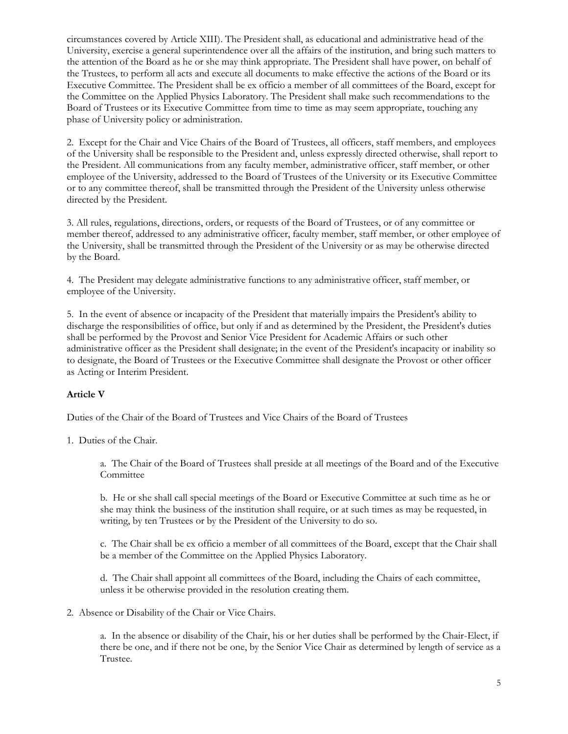circumstances covered by Article XIII). The President shall, as educational and administrative head of the University, exercise a general superintendence over all the affairs of the institution, and bring such matters to the attention of the Board as he or she may think appropriate. The President shall have power, on behalf of the Trustees, to perform all acts and execute all documents to make effective the actions of the Board or its Executive Committee. The President shall be ex officio a member of all committees of the Board, except for the Committee on the Applied Physics Laboratory. The President shall make such recommendations to the Board of Trustees or its Executive Committee from time to time as may seem appropriate, touching any phase of University policy or administration.

2. Except for the Chair and Vice Chairs of the Board of Trustees, all officers, staff members, and employees of the University shall be responsible to the President and, unless expressly directed otherwise, shall report to the President. All communications from any faculty member, administrative officer, staff member, or other employee of the University, addressed to the Board of Trustees of the University or its Executive Committee or to any committee thereof, shall be transmitted through the President of the University unless otherwise directed by the President.

3. All rules, regulations, directions, orders, or requests of the Board of Trustees, or of any committee or member thereof, addressed to any administrative officer, faculty member, staff member, or other employee of the University, shall be transmitted through the President of the University or as may be otherwise directed by the Board.

4. The President may delegate administrative functions to any administrative officer, staff member, or employee of the University.

5. In the event of absence or incapacity of the President that materially impairs the President's ability to discharge the responsibilities of office, but only if and as determined by the President, the President's duties shall be performed by the Provost and Senior Vice President for Academic Affairs or such other administrative officer as the President shall designate; in the event of the President's incapacity or inability so to designate, the Board of Trustees or the Executive Committee shall designate the Provost or other officer as Acting or Interim President.

# **Article V**

Duties of the Chair of the Board of Trustees and Vice Chairs of the Board of Trustees

1. Duties of the Chair.

a. The Chair of the Board of Trustees shall preside at all meetings of the Board and of the Executive **Committee** 

b. He or she shall call special meetings of the Board or Executive Committee at such time as he or she may think the business of the institution shall require, or at such times as may be requested, in writing, by ten Trustees or by the President of the University to do so.

c. The Chair shall be ex officio a member of all committees of the Board, except that the Chair shall be a member of the Committee on the Applied Physics Laboratory.

d. The Chair shall appoint all committees of the Board, including the Chairs of each committee, unless it be otherwise provided in the resolution creating them.

2. Absence or Disability of the Chair or Vice Chairs.

a. In the absence or disability of the Chair, his or her duties shall be performed by the Chair-Elect, if there be one, and if there not be one, by the Senior Vice Chair as determined by length of service as a Trustee.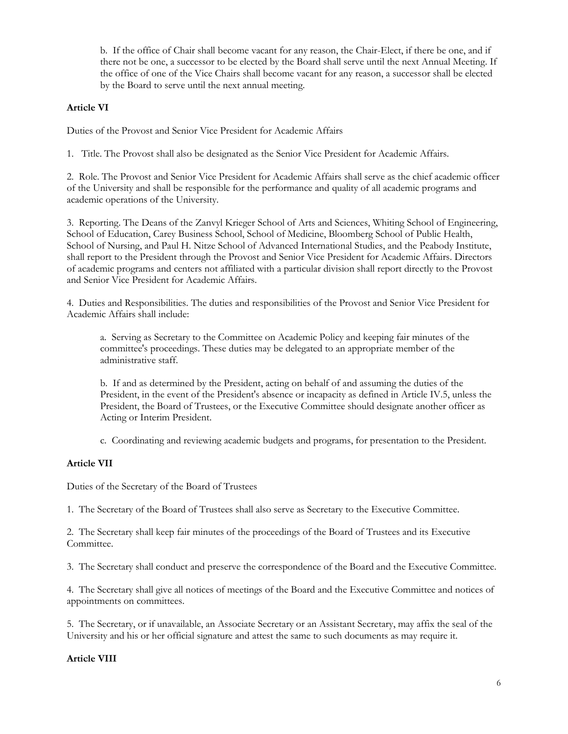b. If the office of Chair shall become vacant for any reason, the Chair-Elect, if there be one, and if there not be one, a successor to be elected by the Board shall serve until the next Annual Meeting. If the office of one of the Vice Chairs shall become vacant for any reason, a successor shall be elected by the Board to serve until the next annual meeting.

# **Article VI**

Duties of the Provost and Senior Vice President for Academic Affairs

1. Title. The Provost shall also be designated as the Senior Vice President for Academic Affairs.

2. Role. The Provost and Senior Vice President for Academic Affairs shall serve as the chief academic officer of the University and shall be responsible for the performance and quality of all academic programs and academic operations of the University.

3. Reporting. The Deans of the Zanvyl Krieger School of Arts and Sciences, Whiting School of Engineering, School of Education, Carey Business School, School of Medicine, Bloomberg School of Public Health, School of Nursing, and Paul H. Nitze School of Advanced International Studies, and the Peabody Institute, shall report to the President through the Provost and Senior Vice President for Academic Affairs. Directors of academic programs and centers not affiliated with a particular division shall report directly to the Provost and Senior Vice President for Academic Affairs.

4. Duties and Responsibilities. The duties and responsibilities of the Provost and Senior Vice President for Academic Affairs shall include:

a. Serving as Secretary to the Committee on Academic Policy and keeping fair minutes of the committee's proceedings. These duties may be delegated to an appropriate member of the administrative staff.

b. If and as determined by the President, acting on behalf of and assuming the duties of the President, in the event of the President's absence or incapacity as defined in Article IV.5, unless the President, the Board of Trustees, or the Executive Committee should designate another officer as Acting or Interim President.

c. Coordinating and reviewing academic budgets and programs, for presentation to the President.

### **Article VII**

Duties of the Secretary of the Board of Trustees

1. The Secretary of the Board of Trustees shall also serve as Secretary to the Executive Committee.

2. The Secretary shall keep fair minutes of the proceedings of the Board of Trustees and its Executive Committee.

3. The Secretary shall conduct and preserve the correspondence of the Board and the Executive Committee.

4. The Secretary shall give all notices of meetings of the Board and the Executive Committee and notices of appointments on committees.

5. The Secretary, or if unavailable, an Associate Secretary or an Assistant Secretary, may affix the seal of the University and his or her official signature and attest the same to such documents as may require it.

### **Article VIII**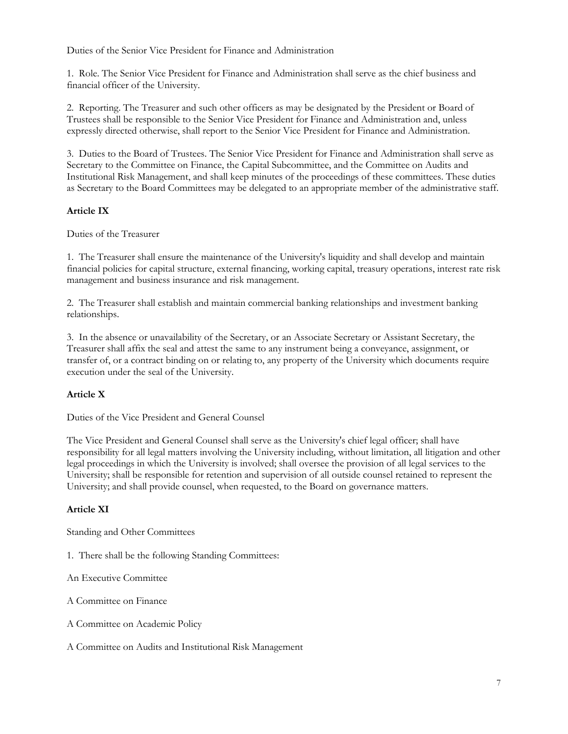Duties of the Senior Vice President for Finance and Administration

1. Role. The Senior Vice President for Finance and Administration shall serve as the chief business and financial officer of the University.

2. Reporting. The Treasurer and such other officers as may be designated by the President or Board of Trustees shall be responsible to the Senior Vice President for Finance and Administration and, unless expressly directed otherwise, shall report to the Senior Vice President for Finance and Administration.

3. Duties to the Board of Trustees. The Senior Vice President for Finance and Administration shall serve as Secretary to the Committee on Finance, the Capital Subcommittee, and the Committee on Audits and Institutional Risk Management, and shall keep minutes of the proceedings of these committees. These duties as Secretary to the Board Committees may be delegated to an appropriate member of the administrative staff.

# **Article IX**

Duties of the Treasurer

1. The Treasurer shall ensure the maintenance of the University's liquidity and shall develop and maintain financial policies for capital structure, external financing, working capital, treasury operations, interest rate risk management and business insurance and risk management.

2. The Treasurer shall establish and maintain commercial banking relationships and investment banking relationships.

3. In the absence or unavailability of the Secretary, or an Associate Secretary or Assistant Secretary, the Treasurer shall affix the seal and attest the same to any instrument being a conveyance, assignment, or transfer of, or a contract binding on or relating to, any property of the University which documents require execution under the seal of the University.

# **Article X**

Duties of the Vice President and General Counsel

The Vice President and General Counsel shall serve as the University's chief legal officer; shall have responsibility for all legal matters involving the University including, without limitation, all litigation and other legal proceedings in which the University is involved; shall oversee the provision of all legal services to the University; shall be responsible for retention and supervision of all outside counsel retained to represent the University; and shall provide counsel, when requested, to the Board on governance matters.

### **Article XI**

Standing and Other Committees

1. There shall be the following Standing Committees:

An Executive Committee

A Committee on Finance

A Committee on Academic Policy

A Committee on Audits and Institutional Risk Management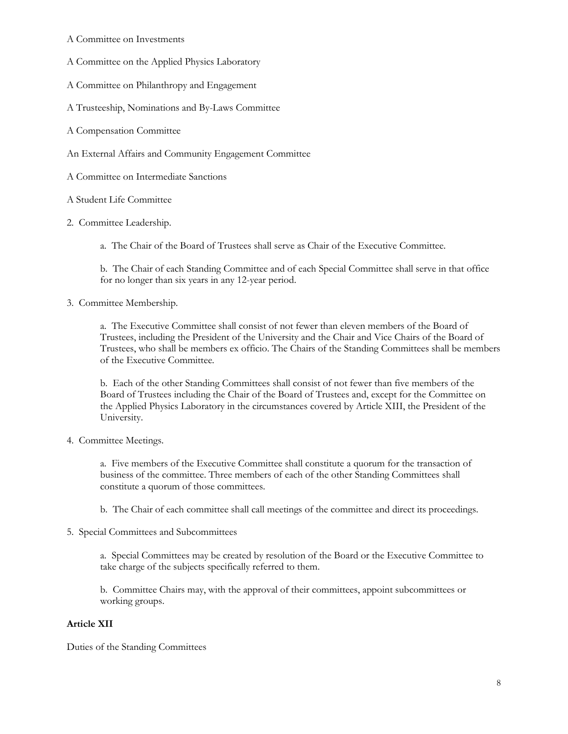- A Committee on Investments
- A Committee on the Applied Physics Laboratory
- A Committee on Philanthropy and Engagement
- A Trusteeship, Nominations and By-Laws Committee
- A Compensation Committee
- An External Affairs and Community Engagement Committee
- A Committee on Intermediate Sanctions
- A Student Life Committee
- 2. Committee Leadership.
	- a. The Chair of the Board of Trustees shall serve as Chair of the Executive Committee.

b. The Chair of each Standing Committee and of each Special Committee shall serve in that office for no longer than six years in any 12-year period.

3. Committee Membership.

a. The Executive Committee shall consist of not fewer than eleven members of the Board of Trustees, including the President of the University and the Chair and Vice Chairs of the Board of Trustees, who shall be members ex officio. The Chairs of the Standing Committees shall be members of the Executive Committee.

b. Each of the other Standing Committees shall consist of not fewer than five members of the Board of Trustees including the Chair of the Board of Trustees and, except for the Committee on the Applied Physics Laboratory in the circumstances covered by Article XIII, the President of the University.

4. Committee Meetings.

a. Five members of the Executive Committee shall constitute a quorum for the transaction of business of the committee. Three members of each of the other Standing Committees shall constitute a quorum of those committees.

- b. The Chair of each committee shall call meetings of the committee and direct its proceedings.
- 5. Special Committees and Subcommittees

a. Special Committees may be created by resolution of the Board or the Executive Committee to take charge of the subjects specifically referred to them.

b. Committee Chairs may, with the approval of their committees, appoint subcommittees or working groups.

### **Article XII**

Duties of the Standing Committees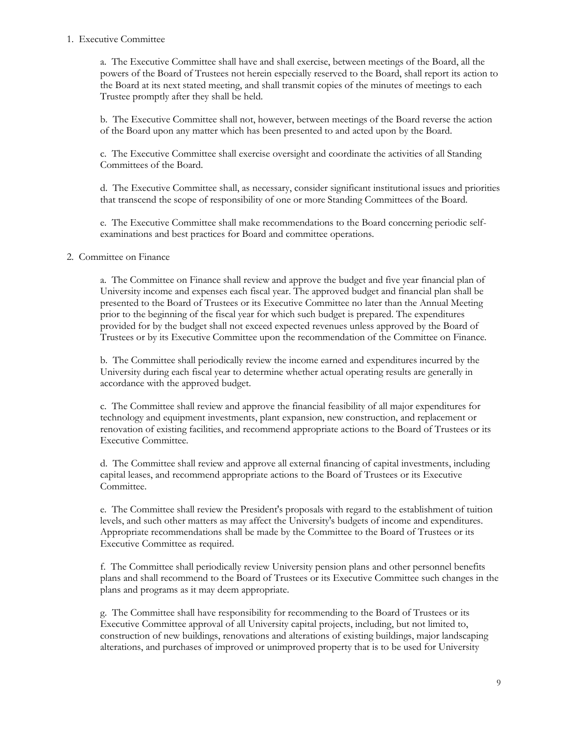#### 1. Executive Committee

a. The Executive Committee shall have and shall exercise, between meetings of the Board, all the powers of the Board of Trustees not herein especially reserved to the Board, shall report its action to the Board at its next stated meeting, and shall transmit copies of the minutes of meetings to each Trustee promptly after they shall be held.

b. The Executive Committee shall not, however, between meetings of the Board reverse the action of the Board upon any matter which has been presented to and acted upon by the Board.

c. The Executive Committee shall exercise oversight and coordinate the activities of all Standing Committees of the Board.

d. The Executive Committee shall, as necessary, consider significant institutional issues and priorities that transcend the scope of responsibility of one or more Standing Committees of the Board.

e. The Executive Committee shall make recommendations to the Board concerning periodic selfexaminations and best practices for Board and committee operations.

#### 2. Committee on Finance

a. The Committee on Finance shall review and approve the budget and five year financial plan of University income and expenses each fiscal year. The approved budget and financial plan shall be presented to the Board of Trustees or its Executive Committee no later than the Annual Meeting prior to the beginning of the fiscal year for which such budget is prepared. The expenditures provided for by the budget shall not exceed expected revenues unless approved by the Board of Trustees or by its Executive Committee upon the recommendation of the Committee on Finance.

b. The Committee shall periodically review the income earned and expenditures incurred by the University during each fiscal year to determine whether actual operating results are generally in accordance with the approved budget.

c. The Committee shall review and approve the financial feasibility of all major expenditures for technology and equipment investments, plant expansion, new construction, and replacement or renovation of existing facilities, and recommend appropriate actions to the Board of Trustees or its Executive Committee.

d. The Committee shall review and approve all external financing of capital investments, including capital leases, and recommend appropriate actions to the Board of Trustees or its Executive Committee.

e. The Committee shall review the President's proposals with regard to the establishment of tuition levels, and such other matters as may affect the University's budgets of income and expenditures. Appropriate recommendations shall be made by the Committee to the Board of Trustees or its Executive Committee as required.

f. The Committee shall periodically review University pension plans and other personnel benefits plans and shall recommend to the Board of Trustees or its Executive Committee such changes in the plans and programs as it may deem appropriate.

g. The Committee shall have responsibility for recommending to the Board of Trustees or its Executive Committee approval of all University capital projects, including, but not limited to, construction of new buildings, renovations and alterations of existing buildings, major landscaping alterations, and purchases of improved or unimproved property that is to be used for University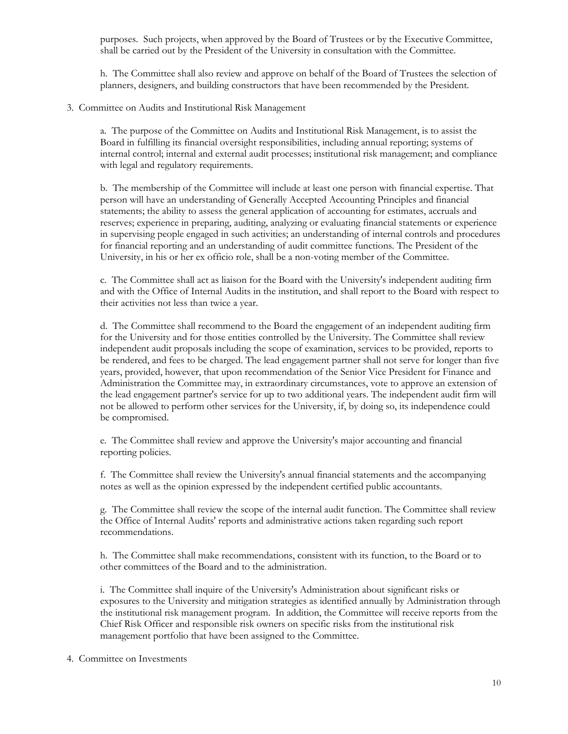purposes. Such projects, when approved by the Board of Trustees or by the Executive Committee, shall be carried out by the President of the University in consultation with the Committee.

h. The Committee shall also review and approve on behalf of the Board of Trustees the selection of planners, designers, and building constructors that have been recommended by the President.

3. Committee on Audits and Institutional Risk Management

a. The purpose of the Committee on Audits and Institutional Risk Management, is to assist the Board in fulfilling its financial oversight responsibilities, including annual reporting; systems of internal control; internal and external audit processes; institutional risk management; and compliance with legal and regulatory requirements.

b. The membership of the Committee will include at least one person with financial expertise. That person will have an understanding of Generally Accepted Accounting Principles and financial statements; the ability to assess the general application of accounting for estimates, accruals and reserves; experience in preparing, auditing, analyzing or evaluating financial statements or experience in supervising people engaged in such activities; an understanding of internal controls and procedures for financial reporting and an understanding of audit committee functions. The President of the University, in his or her ex officio role, shall be a non-voting member of the Committee.

c. The Committee shall act as liaison for the Board with the University's independent auditing firm and with the Office of Internal Audits in the institution, and shall report to the Board with respect to their activities not less than twice a year.

d. The Committee shall recommend to the Board the engagement of an independent auditing firm for the University and for those entities controlled by the University. The Committee shall review independent audit proposals including the scope of examination, services to be provided, reports to be rendered, and fees to be charged. The lead engagement partner shall not serve for longer than five years, provided, however, that upon recommendation of the Senior Vice President for Finance and Administration the Committee may, in extraordinary circumstances, vote to approve an extension of the lead engagement partner's service for up to two additional years. The independent audit firm will not be allowed to perform other services for the University, if, by doing so, its independence could be compromised.

e. The Committee shall review and approve the University's major accounting and financial reporting policies.

f. The Committee shall review the University's annual financial statements and the accompanying notes as well as the opinion expressed by the independent certified public accountants.

g. The Committee shall review the scope of the internal audit function. The Committee shall review the Office of Internal Audits' reports and administrative actions taken regarding such report recommendations.

h. The Committee shall make recommendations, consistent with its function, to the Board or to other committees of the Board and to the administration.

i. The Committee shall inquire of the University's Administration about significant risks or exposures to the University and mitigation strategies as identified annually by Administration through the institutional risk management program. In addition, the Committee will receive reports from the Chief Risk Officer and responsible risk owners on specific risks from the institutional risk management portfolio that have been assigned to the Committee.

4. Committee on Investments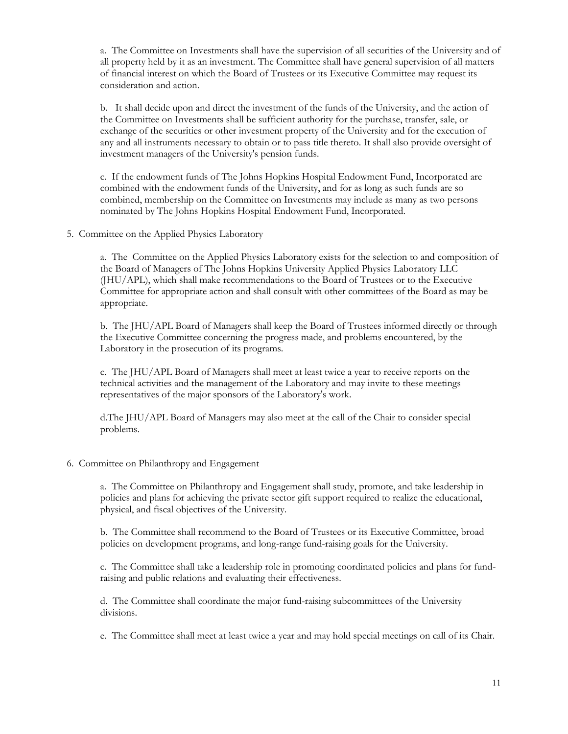a. The Committee on Investments shall have the supervision of all securities of the University and of all property held by it as an investment. The Committee shall have general supervision of all matters of financial interest on which the Board of Trustees or its Executive Committee may request its consideration and action.

b. It shall decide upon and direct the investment of the funds of the University, and the action of the Committee on Investments shall be sufficient authority for the purchase, transfer, sale, or exchange of the securities or other investment property of the University and for the execution of any and all instruments necessary to obtain or to pass title thereto. It shall also provide oversight of investment managers of the University's pension funds.

c. If the endowment funds of The Johns Hopkins Hospital Endowment Fund, Incorporated are combined with the endowment funds of the University, and for as long as such funds are so combined, membership on the Committee on Investments may include as many as two persons nominated by The Johns Hopkins Hospital Endowment Fund, Incorporated.

5. Committee on the Applied Physics Laboratory

a. The Committee on the Applied Physics Laboratory exists for the selection to and composition of the Board of Managers of The Johns Hopkins University Applied Physics Laboratory LLC (JHU/APL), which shall make recommendations to the Board of Trustees or to the Executive Committee for appropriate action and shall consult with other committees of the Board as may be appropriate.

b. The JHU/APL Board of Managers shall keep the Board of Trustees informed directly or through the Executive Committee concerning the progress made, and problems encountered, by the Laboratory in the prosecution of its programs.

c. The JHU/APL Board of Managers shall meet at least twice a year to receive reports on the technical activities and the management of the Laboratory and may invite to these meetings representatives of the major sponsors of the Laboratory's work.

d.The JHU/APL Board of Managers may also meet at the call of the Chair to consider special problems.

#### 6. Committee on Philanthropy and Engagement

a. The Committee on Philanthropy and Engagement shall study, promote, and take leadership in policies and plans for achieving the private sector gift support required to realize the educational, physical, and fiscal objectives of the University.

b. The Committee shall recommend to the Board of Trustees or its Executive Committee, broad policies on development programs, and long-range fund-raising goals for the University.

c. The Committee shall take a leadership role in promoting coordinated policies and plans for fundraising and public relations and evaluating their effectiveness.

d. The Committee shall coordinate the major fund-raising subcommittees of the University divisions.

e. The Committee shall meet at least twice a year and may hold special meetings on call of its Chair.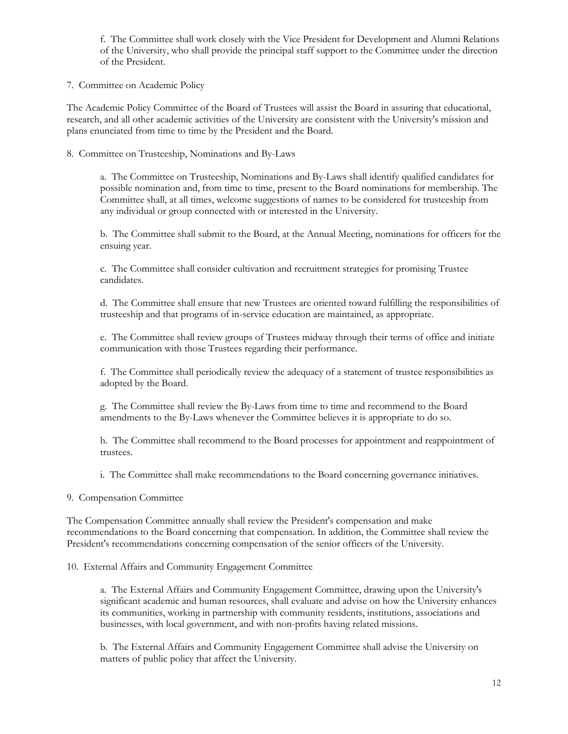f. The Committee shall work closely with the Vice President for Development and Alumni Relations of the University, who shall provide the principal staff support to the Committee under the direction of the President.

7. Committee on Academic Policy

The Academic Policy Committee of the Board of Trustees will assist the Board in assuring that educational, research, and all other academic activities of the University are consistent with the University's mission and plans enunciated from time to time by the President and the Board.

8. Committee on Trusteeship, Nominations and By-Laws

a. The Committee on Trusteeship, Nominations and By-Laws shall identify qualified candidates for possible nomination and, from time to time, present to the Board nominations for membership. The Committee shall, at all times, welcome suggestions of names to be considered for trusteeship from any individual or group connected with or interested in the University.

b. The Committee shall submit to the Board, at the Annual Meeting, nominations for officers for the ensuing year.

c. The Committee shall consider cultivation and recruitment strategies for promising Trustee candidates.

d. The Committee shall ensure that new Trustees are oriented toward fulfilling the responsibilities of trusteeship and that programs of in-service education are maintained, as appropriate.

e. The Committee shall review groups of Trustees midway through their terms of office and initiate communication with those Trustees regarding their performance.

f. The Committee shall periodically review the adequacy of a statement of trustee responsibilities as adopted by the Board.

g. The Committee shall review the By-Laws from time to time and recommend to the Board amendments to the By-Laws whenever the Committee believes it is appropriate to do so.

h. The Committee shall recommend to the Board processes for appointment and reappointment of trustees.

i. The Committee shall make recommendations to the Board concerning governance initiatives.

9. Compensation Committee

The Compensation Committee annually shall review the President's compensation and make recommendations to the Board concerning that compensation. In addition, the Committee shall review the President's recommendations concerning compensation of the senior officers of the University.

### 10. External Affairs and Community Engagement Committee

a. The External Affairs and Community Engagement Committee, drawing upon the University's significant academic and human resources, shall evaluate and advise on how the University enhances its communities, working in partnership with community residents, institutions, associations and businesses, with local government, and with non-profits having related missions.

b. The External Affairs and Community Engagement Committee shall advise the University on matters of public policy that affect the University.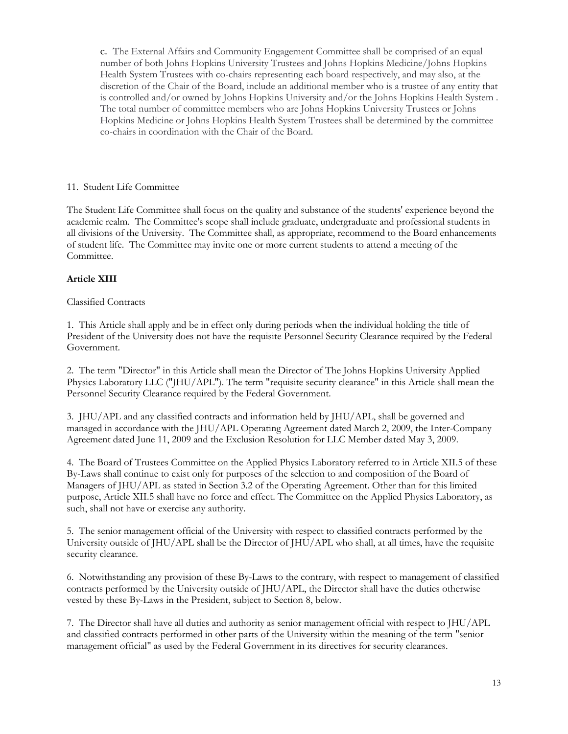c. The External Affairs and Community Engagement Committee shall be comprised of an equal number of both Johns Hopkins University Trustees and Johns Hopkins Medicine/Johns Hopkins Health System Trustees with co-chairs representing each board respectively, and may also, at the discretion of the Chair of the Board, include an additional member who is a trustee of any entity that is controlled and/or owned by Johns Hopkins University and/or the Johns Hopkins Health System . The total number of committee members who are Johns Hopkins University Trustees or Johns Hopkins Medicine or Johns Hopkins Health System Trustees shall be determined by the committee co-chairs in coordination with the Chair of the Board.

#### 11. Student Life Committee

The Student Life Committee shall focus on the quality and substance of the students' experience beyond the academic realm. The Committee's scope shall include graduate, undergraduate and professional students in all divisions of the University. The Committee shall, as appropriate, recommend to the Board enhancements of student life. The Committee may invite one or more current students to attend a meeting of the Committee.

### **Article XIII**

#### Classified Contracts

1. This Article shall apply and be in effect only during periods when the individual holding the title of President of the University does not have the requisite Personnel Security Clearance required by the Federal Government.

2. The term "Director" in this Article shall mean the Director of The Johns Hopkins University Applied Physics Laboratory LLC ("JHU/APL"). The term "requisite security clearance" in this Article shall mean the Personnel Security Clearance required by the Federal Government.

3. JHU/APL and any classified contracts and information held by JHU/APL, shall be governed and managed in accordance with the JHU/APL Operating Agreement dated March 2, 2009, the Inter-Company Agreement dated June 11, 2009 and the Exclusion Resolution for LLC Member dated May 3, 2009.

4. The Board of Trustees Committee on the Applied Physics Laboratory referred to in Article XII.5 of these By-Laws shall continue to exist only for purposes of the selection to and composition of the Board of Managers of JHU/APL as stated in Section 3.2 of the Operating Agreement. Other than for this limited purpose, Article XII.5 shall have no force and effect. The Committee on the Applied Physics Laboratory, as such, shall not have or exercise any authority.

5. The senior management official of the University with respect to classified contracts performed by the University outside of JHU/APL shall be the Director of JHU/APL who shall, at all times, have the requisite security clearance.

6. Notwithstanding any provision of these By-Laws to the contrary, with respect to management of classified contracts performed by the University outside of JHU/APL, the Director shall have the duties otherwise vested by these By-Laws in the President, subject to Section 8, below.

7. The Director shall have all duties and authority as senior management official with respect to JHU/APL and classified contracts performed in other parts of the University within the meaning of the term "senior management official" as used by the Federal Government in its directives for security clearances.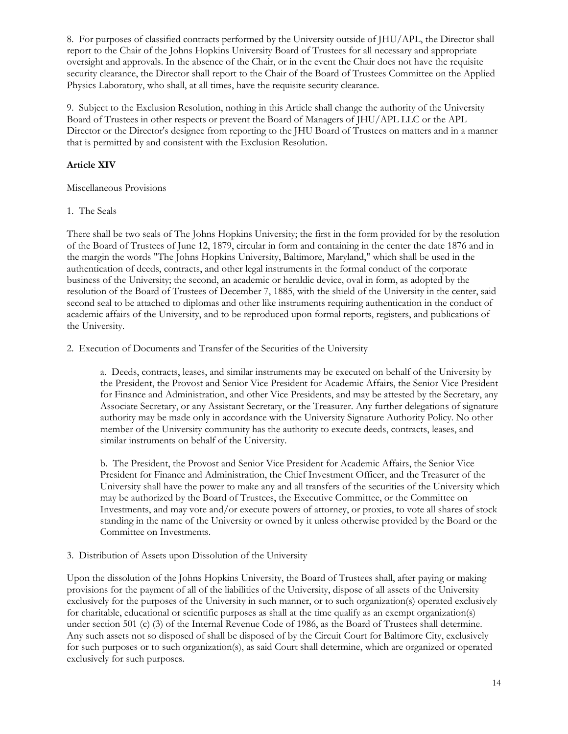8. For purposes of classified contracts performed by the University outside of JHU/APL, the Director shall report to the Chair of the Johns Hopkins University Board of Trustees for all necessary and appropriate oversight and approvals. In the absence of the Chair, or in the event the Chair does not have the requisite security clearance, the Director shall report to the Chair of the Board of Trustees Committee on the Applied Physics Laboratory, who shall, at all times, have the requisite security clearance.

9. Subject to the Exclusion Resolution, nothing in this Article shall change the authority of the University Board of Trustees in other respects or prevent the Board of Managers of JHU/APL LLC or the APL Director or the Director's designee from reporting to the JHU Board of Trustees on matters and in a manner that is permitted by and consistent with the Exclusion Resolution.

# **Article XIV**

Miscellaneous Provisions

# 1. The Seals

There shall be two seals of The Johns Hopkins University; the first in the form provided for by the resolution of the Board of Trustees of June 12, 1879, circular in form and containing in the center the date 1876 and in the margin the words "The Johns Hopkins University, Baltimore, Maryland," which shall be used in the authentication of deeds, contracts, and other legal instruments in the formal conduct of the corporate business of the University; the second, an academic or heraldic device, oval in form, as adopted by the resolution of the Board of Trustees of December 7, 1885, with the shield of the University in the center, said second seal to be attached to diplomas and other like instruments requiring authentication in the conduct of academic affairs of the University, and to be reproduced upon formal reports, registers, and publications of the University.

2. Execution of Documents and Transfer of the Securities of the University

a. Deeds, contracts, leases, and similar instruments may be executed on behalf of the University by the President, the Provost and Senior Vice President for Academic Affairs, the Senior Vice President for Finance and Administration, and other Vice Presidents, and may be attested by the Secretary, any Associate Secretary, or any Assistant Secretary, or the Treasurer. Any further delegations of signature authority may be made only in accordance with the University Signature Authority Policy. No other member of the University community has the authority to execute deeds, contracts, leases, and similar instruments on behalf of the University.

b. The President, the Provost and Senior Vice President for Academic Affairs, the Senior Vice President for Finance and Administration, the Chief Investment Officer, and the Treasurer of the University shall have the power to make any and all transfers of the securities of the University which may be authorized by the Board of Trustees, the Executive Committee, or the Committee on Investments, and may vote and/or execute powers of attorney, or proxies, to vote all shares of stock standing in the name of the University or owned by it unless otherwise provided by the Board or the Committee on Investments.

3. Distribution of Assets upon Dissolution of the University

Upon the dissolution of the Johns Hopkins University, the Board of Trustees shall, after paying or making provisions for the payment of all of the liabilities of the University, dispose of all assets of the University exclusively for the purposes of the University in such manner, or to such organization(s) operated exclusively for charitable, educational or scientific purposes as shall at the time qualify as an exempt organization(s) under section 501 (c) (3) of the Internal Revenue Code of 1986, as the Board of Trustees shall determine. Any such assets not so disposed of shall be disposed of by the Circuit Court for Baltimore City, exclusively for such purposes or to such organization(s), as said Court shall determine, which are organized or operated exclusively for such purposes.